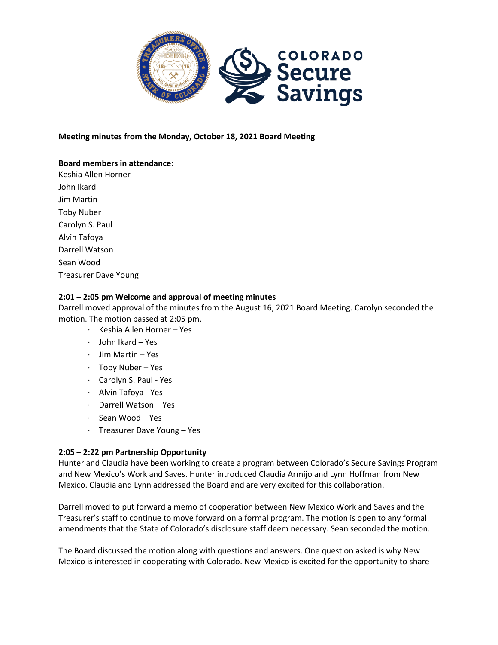

**Meeting minutes from the Monday, October 18, 2021 Board Meeting** 

# **Board members in attendance:**

Keshia Allen Horner John Ikard Jim Martin Toby Nuber Carolyn S. Paul Alvin Tafoya Darrell Watson Sean Wood Treasurer Dave Young

## **2:01 – 2:05 pm Welcome and approval of meeting minutes**

Darrell moved approval of the minutes from the August 16, 2021 Board Meeting. Carolyn seconded the motion. The motion passed at 2:05 pm.

- · Keshia Allen Horner Yes
- · John Ikard Yes
- · Jim Martin Yes
- · Toby Nuber Yes
- · Carolyn S. Paul Yes
- · Alvin Tafoya Yes
- · Darrell Watson Yes
- · Sean Wood Yes
- · Treasurer Dave Young Yes

# **2:05 – 2:22 pm Partnership Opportunity**

Hunter and Claudia have been working to create a program between Colorado's Secure Savings Program and New Mexico's Work and Saves. Hunter introduced Claudia Armijo and Lynn Hoffman from New Mexico. Claudia and Lynn addressed the Board and are very excited for this collaboration.

Darrell moved to put forward a memo of cooperation between New Mexico Work and Saves and the Treasurer's staff to continue to move forward on a formal program. The motion is open to any formal amendments that the State of Colorado's disclosure staff deem necessary. Sean seconded the motion.

The Board discussed the motion along with questions and answers. One question asked is why New Mexico is interested in cooperating with Colorado. New Mexico is excited for the opportunity to share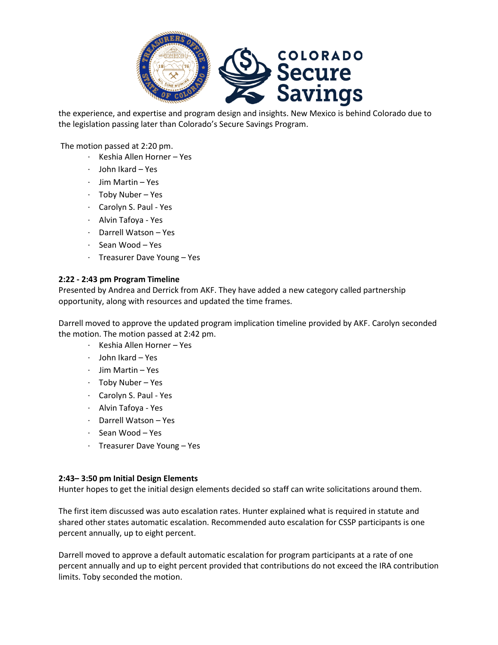

the experience, and expertise and program design and insights. New Mexico is behind Colorado due to the legislation passing later than Colorado's Secure Savings Program.

The motion passed at 2:20 pm.

- · Keshia Allen Horner Yes
- · John Ikard Yes
- · Jim Martin Yes
- · Toby Nuber Yes
- · Carolyn S. Paul Yes
- · Alvin Tafoya Yes
- · Darrell Watson Yes
- · Sean Wood Yes
- · Treasurer Dave Young Yes

## **2:22 - 2:43 pm Program Timeline**

Presented by Andrea and Derrick from AKF. They have added a new category called partnership opportunity, along with resources and updated the time frames.

Darrell moved to approve the updated program implication timeline provided by AKF. Carolyn seconded the motion. The motion passed at 2:42 pm.

- · Keshia Allen Horner Yes
- · John Ikard Yes
- · Jim Martin Yes
- · Toby Nuber Yes
- · Carolyn S. Paul Yes
- · Alvin Tafoya Yes
- · Darrell Watson Yes
- · Sean Wood Yes
- · Treasurer Dave Young Yes

## **2:43– 3:50 pm Initial Design Elements**

Hunter hopes to get the initial design elements decided so staff can write solicitations around them.

The first item discussed was auto escalation rates. Hunter explained what is required in statute and shared other states automatic escalation. Recommended auto escalation for CSSP participants is one percent annually, up to eight percent.

Darrell moved to approve a default automatic escalation for program participants at a rate of one percent annually and up to eight percent provided that contributions do not exceed the IRA contribution limits. Toby seconded the motion.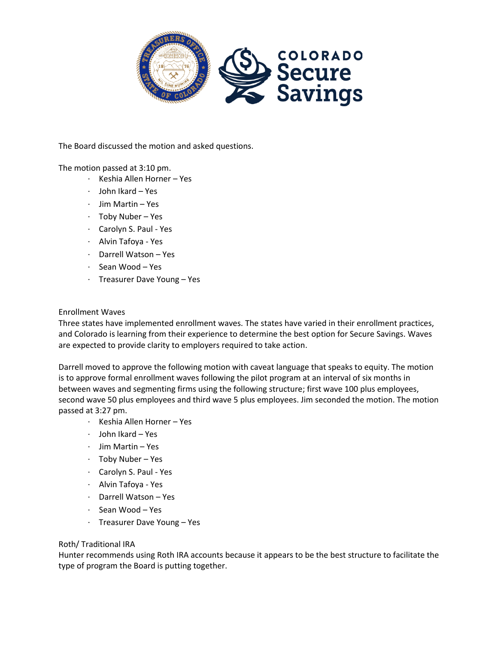

The Board discussed the motion and asked questions.

## The motion passed at 3:10 pm.

- · Keshia Allen Horner Yes
- · John Ikard Yes
- · Jim Martin Yes
- · Toby Nuber Yes
- · Carolyn S. Paul Yes
- · Alvin Tafoya Yes
- · Darrell Watson Yes
- · Sean Wood Yes
- · Treasurer Dave Young Yes

#### Enrollment Waves

Three states have implemented enrollment waves. The states have varied in their enrollment practices, and Colorado is learning from their experience to determine the best option for Secure Savings. Waves are expected to provide clarity to employers required to take action.

Darrell moved to approve the following motion with caveat language that speaks to equity. The motion is to approve formal enrollment waves following the pilot program at an interval of six months in between waves and segmenting firms using the following structure; first wave 100 plus employees, second wave 50 plus employees and third wave 5 plus employees. Jim seconded the motion. The motion passed at 3:27 pm.

- · Keshia Allen Horner Yes
- · John Ikard Yes
- · Jim Martin Yes
- · Toby Nuber Yes
- · Carolyn S. Paul Yes
- · Alvin Tafoya Yes
- · Darrell Watson Yes
- · Sean Wood Yes
- · Treasurer Dave Young Yes

## Roth/ Traditional IRA

Hunter recommends using Roth IRA accounts because it appears to be the best structure to facilitate the type of program the Board is putting together.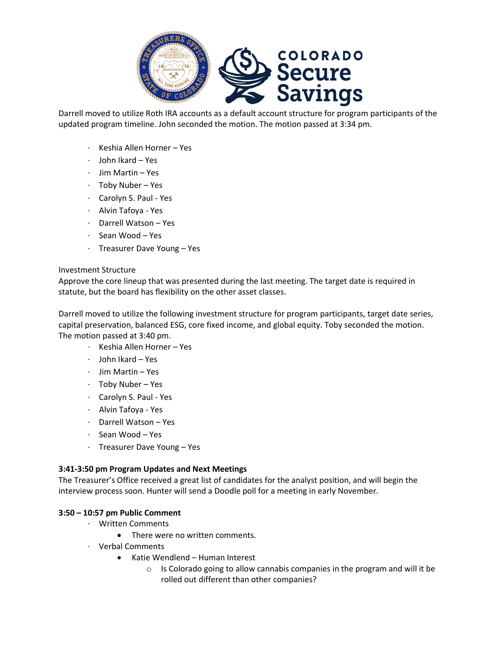

Darrell moved to utilize Roth IRA accounts as a default account structure for program participants of the updated program timeline. John seconded the motion. The motion passed at 3:34 pm.

- · Keshia Allen Horner Yes
- · John Ikard Yes
- · Jim Martin Yes
- · Toby Nuber Yes
- · Carolyn S. Paul Yes
- · Alvin Tafoya Yes
- · Darrell Watson Yes
- · Sean Wood Yes
- · Treasurer Dave Young Yes

#### Investment Structure

Approve the core lineup that was presented during the last meeting. The target date is required in statute, but the board has flexibility on the other asset classes.

Darrell moved to utilize the following investment structure for program participants, target date series, capital preservation, balanced ESG, core fixed income, and global equity. Toby seconded the motion. The motion passed at 3:40 pm.

- · Keshia Allen Horner Yes
- · John Ikard Yes
- · Jim Martin Yes
- · Toby Nuber Yes
- · Carolyn S. Paul Yes
- · Alvin Tafoya Yes
- · Darrell Watson Yes
- Sean Wood Yes
- · Treasurer Dave Young Yes

## **3:41-3:50 pm Program Updates and Next Meetings**

The Treasurer's Office received a great list of candidates for the analyst position, and will begin the interview process soon. Hunter will send a Doodle poll for a meeting in early November.

## **3:50 – 10:57 pm Public Comment**

- · Written Comments
	- There were no written comments.
- · Verbal Comments
	- Katie Wendlend Human Interest
		- o Is Colorado going to allow cannabis companies in the program and will it be rolled out different than other companies?